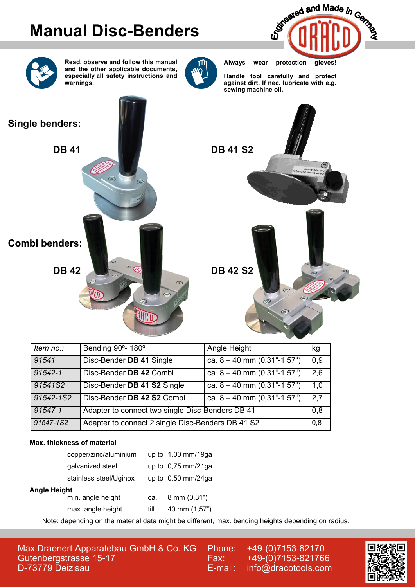

| Item no.: | Bending 90°- 180°                                        | Angle Height                                      | kg               |
|-----------|----------------------------------------------------------|---------------------------------------------------|------------------|
| 91541     | Disc-Bender DB 41 Single                                 | ca. $8 - 40$ mm $(0,31^{\circ} - 1,57^{\circ})$   | 0,9              |
| 91542-1   | Disc-Bender DB 42 Combi                                  | ca. $8 - 40$ mm $(0, 31^{\circ} - 1, 57^{\circ})$ | 2,6              |
| 91541S2   | Disc-Bender DB 41 S2 Single                              | ca. $8 - 40$ mm $(0, 31^{\circ} - 1, 57^{\circ})$ | 1,0              |
| 91542-1S2 | Disc-Bender DB 42 S2 Combi                               | ca. $8 - 40$ mm $(0,31^{\circ} - 1,57^{\circ})$   | $\overline{2,7}$ |
| 91547-1   | Adapter to connect two single Disc-Benders DB 41         |                                                   | 0,8              |
| 91547-1S2 | 0,8<br>Adapter to connect 2 single Disc-Benders DB 41 S2 |                                                   |                  |

## **Max. thickness of material**

|                                                            | copper/zinc/aluminium  |      | up to $1,00$ mm/19ga           |  |
|------------------------------------------------------------|------------------------|------|--------------------------------|--|
|                                                            | galvanized steel       |      | up to $0,75$ mm/21ga           |  |
|                                                            | stainless steel/Uginox |      | up to $0,50$ mm/24ga           |  |
| Angle Height                                               |                        |      |                                |  |
|                                                            | min. angle height      | ca.  | $8 \text{ mm } (0,31^{\circ})$ |  |
|                                                            | max. angle height      | till | 40 mm (1,57")                  |  |
| Note: depending on the material data might be different in |                        |      |                                |  |

t, max. bending heights depending on radius.

Max Draenert Apparatebau GmbH & Co. KG Gutenbergstrasse 15-17 D-73779 Deizisau

Phone: +49-(0)7153-82170 Fax: +49-(0)7153-821766 E-mail: info@dracotools.com